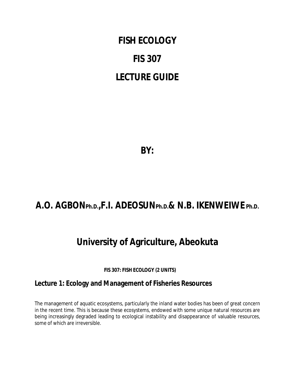# **FISH ECOLOGY FIS 307 LECTURE GUIDE**

**BY:**

## **A.O. AGBONPh.D.,F.I. ADEOSUNPh.D.& N.B. IKENWEIWE Ph.D.**

## **University of Agriculture, Abeokuta**

**FIS 307: FISH ECOLOGY (2 UNITS)**

### **Lecture 1: Ecology and Management of Fisheries Resources**

The management of aquatic ecosystems, particularly the inland water bodies has been of great concern in the recent time. This is because these ecosystems, endowed with some unique natural resources are being increasingly degraded leading to ecological instability and disappearance of valuable resources, some of which are irreversible.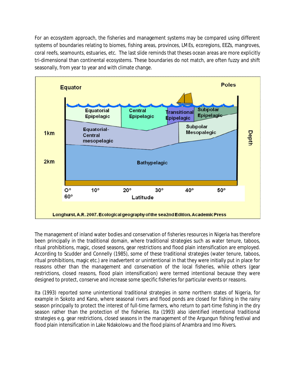For an ecosystem approach, the fisheries and management systems may be compared using different systems of boundaries relating to biomes, fishing areas, provinces, LMEs, ecoregions, EEZs, mangroves, coral reefs, seamounts, estuaries, etc. The last slide reminds that theses ocean areas are more explicitly tri-dimensional than continental ecosystems. These boundaries do not match, are often fuzzy and shift seasonally, from year to year and with climate change.



The management of inland water bodies and conservation of fisheries resources in Nigeria has therefore been principally in the traditional domain, where traditional strategies such as water tenure, taboos, ritual prohibitions, magic, closed seasons, gear restrictions and flood plain intensification are employed. According to Scudder and Connelly (1985), some of these traditional strategies (water tenure, taboos, ritual prohibitions, magic etc.) are inadvertent or unintentional in that they were initially put in place for reasons other than the management and conservation of the local fisheries, while others (gear restrictions, closed reasons, flood plain intensification) were termed intentional because they were designed to protect, conserve and increase some specific fisheries for particular events or reasons.

Ita (1993) reported some unintentional traditional strategies in some northern states of Nigeria, for example in Sokoto and Kano, where seasonal rivers and flood ponds are closed for fishing in the rainy season principally to protect the interest of full-time farmers, who return to part-time fishing in the dry season rather than the protection of the fisheries. Ita (1993) also identified intentional traditional strategies e.g. gear restrictions, closed seasons in the management of the Argungun fishing festival and flood plain intensification in Lake Ndakolowu and the flood plains of Anambra and Imo Rivers.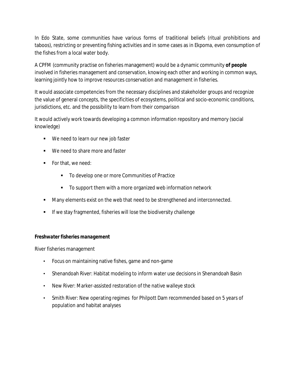In Edo State, some communities have various forms of traditional beliefs (ritual prohibitions and taboos), restricting or preventing fishing activities and in some cases as in Ekpoma, even consumption of the fishes from a local water body.

A CPFM (community practise on fisheries management) would be a dynamic community **of people** involved in fisheries management and conservation, knowing each other and working in common ways, learning jointly how to improve resources conservation and management in fisheries.

It would associate competencies from the necessary disciplines and stakeholder groups and recognize the value of general concepts, the specificities of ecosystems, political and socio-economic conditions, jurisdictions, etc. and the possibility to learn from their comparison

It would actively work towards developing a common information repository and memory (social knowledge)

- **We need to learn our new job faster**
- We need to share more and faster
- $\blacksquare$  For that, we need:
	- **To develop one or more Communities of Practice**
	- To support them with a more organized web information network
- **Many elements exist on the web that need to be strengthened and interconnected.**
- **If we stay fragmented, fisheries will lose the biodiversity challenge**

#### *Freshwater fisheries management*

River fisheries management

- Focus on maintaining native fishes, game and non-game
- Shenandoah River: Habitat modeling to inform water use decisions in Shenandoah Basin
- New River: Marker-assisted restoration of the native walleye stock
- Smith River: New operating regimes for Philpott Dam recommended based on 5 years of population and habitat analyses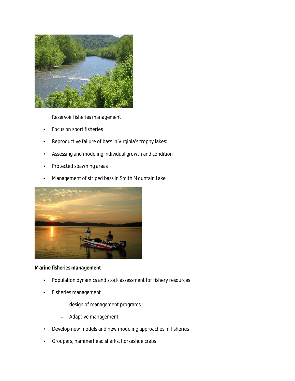

*Reservoir fisheries management*

- Focus on sport fisheries
- Reproductive failure of bass in Virginia's trophy lakes:
- Assessing and modeling individual growth and condition
- Protected spawning areas
- Management of striped bass in Smith Mountain Lake



#### *Marine fisheries management*

- Population dynamics and stock assessment for fishery resources
- Fisheries management
	- design of management programs
	- Adaptive management
- Develop new models and new modeling approaches in fisheries
- Groupers, hammerhead sharks, horseshoe crabs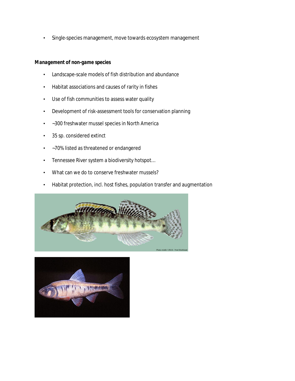• Single-species management, move towards ecosystem management

#### *Management of non-game species*

- Landscape-scale models of fish distribution and abundance
- Habitat associations and causes of rarity in fishes
- Use of fish communities to assess water quality
- Development of risk-assessment tools for conservation planning
- ~300 freshwater mussel species in North America
- 35 sp. considered extinct
- ~70% listed as threatened or endangered
- Tennessee River system a biodiversity hotspot…
- What can we do to conserve freshwater mussels?
- Habitat protection, incl. host fishes, population transfer and augmentation



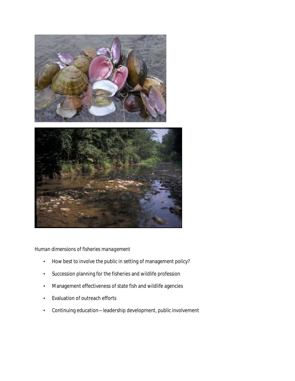

#### *Human dimensions of fisheries management*

- How best to involve the public in setting of management policy?
- Succession planning for the fisheries and wildlife profession
- Management effectiveness of state fish and wildlife agencies
- Evaluation of outreach efforts
- Continuing education—leadership development, public involvement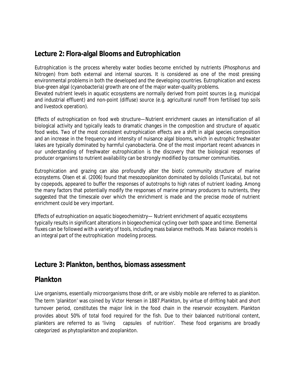## **Lecture 2: Flora-algal Blooms and Eutrophication**

Eutrophication is the process whereby water bodies become enriched by nutrients (Phosphorus and Nitrogen) from both external and internal sources. It is considered as one of the most pressing environmental problems in both the developed and the developing countries. Eutrophication and excess blue-green algal (cyanobacteria) growth are one of the major water-quality problems.

Elevated nutrient levels in aquatic ecosystems are normally derived from point sources (e.g. municipal and industrial effluent) and non-point (diffuse) source (e.g. agricultural runoff from fertilised top soils and livestock operation).

*Effects of eutrophication on food web structure*—Nutrient enrichment causes an intensification of all biological activity and typically leads to dramatic changes in the composition and structure of aquatic food webs. Two of the most consistent eutrophication effects are a shift in algal species composition and an increase in the frequency and intensity of nuisance algal blooms, which in eutrophic freshwater lakes are typically dominated by harmful cyanobacteria. One of the most important recent advances in our understanding of freshwater eutrophication is the discovery that the biological responses of producer organisms to nutrient availability can be strongly modified by consumer communities.

Eutrophication and grazing can also profoundly alter the biotic community structure of marine ecosystems. Olsen et al. (2006) found that mesozooplankton dominated by doliolids (Tunicata), but not by copepods, appeared to buffer the responses of autotrophs to high rates of nutrient loading. Among the many factors that potentially modify the responses of marine primary producers to nutrients, they suggested that the timescale over which the enrichment is made and the precise mode of nutrient enrichment could be very important.

*Effects of eutrophication on aquatic biogeochemistry*— Nutrient enrichment of aquatic ecosystems typically results in significant alterations in biogeochemical cycling over both space and time. Elemental fluxes can be followed with a variety of tools, including mass balance methods. Mass balance models is an integral part of the eutrophication modeling process.

## **Lecture 3: Plankton, benthos, biomass assessment**

## **Plankton**

Live organisms, essentially microorganisms those drift, or are visibly mobile are referred to as plankton. The term 'plankton' was coined by Victor Hensen in 1887.Plankton, by virtue of drifting habit and short turnover period, constitutes the major link in the food chain in the reservoir ecosystem. Plankton provides about 50% of total food required for the fish. Due to their balanced nutritional content, plankters are referred to as 'living capsules of nutrition'. These food organisms are broadly categorized as phytoplankton and zooplankton.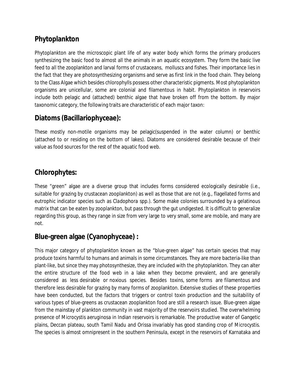## **Phytoplankton**

Phytoplankton are the microscopic plant life of any water body which forms the primary producers synthesizing the basic food to almost all the animals in an aquatic ecosystem. They form the basic live feed to all the zooplankton and larval forms of crustaceans, molluscs and fishes. Their importance lies in the fact that they are photosynthesizing organisms and serve as first link in the food chain. They belong to the Class Algae which besides chlorophylls possess other characteristic pigments. Most phytoplankton organisms are unicellular, some are colonial and filamentous in habit. Phytoplankton in reservoirs include both pelagic and (attached) benthic algae that have broken off from the bottom. By major taxonomic category, the following traits are characteristic of each major taxon:

## **Diatoms (Bacillariophyceae):**

These mostly non-motile organisms may be pelagic(suspended in the water column) or benthic (attached to or residing on the bottom of lakes). Diatoms are considered desirable because of their value as food sources for the rest of the aquatic food web.

## **Chlorophytes:**

These "green" algae are a diverse group that includes forms considered ecologically desirable (i.e., suitable for grazing by crustacean zooplankton) as well as those that are not (e.g., flagellated forms and eutrophic indicator species such as *Cladophora* spp.). Some make colonies surrounded by a gelatinous matrix that can be eaten by zooplankton, but pass through the gut undigested. It is difficult to generalize regarding this group, as they range in size from very large to very small, some are mobile, and many are not.

## **Blue-green algae (Cyanophyceae) :**

This major category of phytoplankton known as the "blue-green algae" has certain species that may produce toxins harmful to humans and animals in some circumstances. They are more bacteria-like than plant-like, but since they may photosynthesize, they are included with the phytoplankton. They can alter the entire structure of the food web in a lake when they become prevalent, and are generally considered as less desirable or noxious species. Besides toxins, some forms are filamentous and therefore less desirable for grazing by many forms of zooplankton. Extensive studies of these properties have been conducted, but the factors that triggers or control toxin production and the suitability of various types of blue-greens as crustacean zooplankton food are still a research issue. Blue-green algae from the mainstay of plankton community in vast majority of the reservoirs studied. The overwhelming presence of *Microcystis aeruginosa* in Indian reservoirs is remarkable. The productive water of Gangetic plains, Deccan plateau, south Tamil Nadu and Orissa invariably has good standing crop of *Microcystis*. The species is almost omnipresent in the southern Peninsula, except in the reservoirs of Karnataka and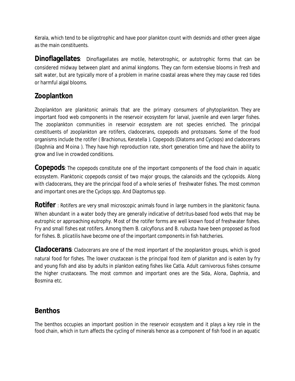Kerala, which tend to be oligotrophic and have poor plankton count with desmids and other green algae as the main constituents.

**Dinoflagellates**: Dinoflagellates are motile, heterotrophic, or autotrophic forms that can be considered midway between plant and animal kingdoms. They can form extensive blooms in fresh and salt water, but are typically more of a problem in marine coastal areas where they may cause red tides or harmful algal blooms.

## **Zooplantkon**

Zooplankton are planktonic animals that are the primary consumers of phytoplankton. They are important food web components in the reservoir ecosystem for larval, juvenile and even larger fishes. The zooplankton communities in reservoir ecosystem are not species enriched. The principal constituents of zooplankton are rotifers, cladocerans, copepods and protozoans. Some of the food organisms include the rotifer ( *Brachionus, Keratella* ). Copepods (Diatoms and Cyclops) and cladocerans (*Daphnia* and *Moina* ). They have high reproduction rate, short generation time and have the ability to grow and live in crowded conditions.

**Copepods**: The copepods constitute one of the important components of the food chain in aquatic ecosystem. Planktonic copepods consist of two major groups, the calanoids and the cyclopoids. Along with cladocerans, they are the principal food of a whole series of freshwater fishes. The most common and important ones are the *Cyclops* spp. And *Diaptomus* spp.

**Rotifer** : Rotifers are very small microscopic animals found in large numbers in the planktonic fauna. When abundant in a water body they are generally indicative of detritus-based food webs that may be eutrophic or approaching eutrophy. Most of the rotifer forms are well known food of freshwater fishes. Fry and small fishes eat rotifers. Among them *B. calcyflorus* and *B. rubusta* have been proposed as food for fishes. *B. plicatilis* have become one of the important components in fish hatcheries.

**Cladocerans**: Cladocerans are one of the most important of the zooplankton groups, which is good natural food for fishes. The lower crustacean is the principal food item of plankton and is eaten by fry and young fish and also by adults in plankton eating fishes like Catla. Adult carnivorous fishes consume the higher crustaceans. The most common and important ones are the *Sida, Alona, Daphnia*, and *Bosmina* etc.

## **Benthos**

The benthos occupies an important position in the reservoir ecosystem and it plays a key role in the food chain, which in turn affects the cycling of minerals hence as a component of fish food in an aquatic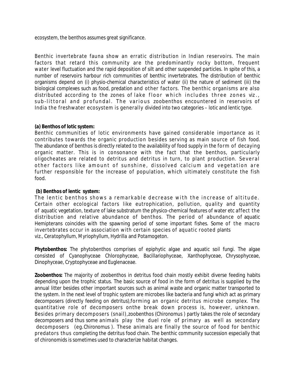ecosystem, the benthos assumes great significance.

Benthic invertebrate fauna show an erratic distribution in Indian reservoirs. The main factors that retard this community are the predominantly rocky bottom, frequent water level fluctuation and the rapid deposition of silt and other suspended particles. In spite of this, a number of reservoirs harbour rich communities of benthic invertebrates. The distribution of benthic organisms depend on (i) physio-chemical characteristics of water (ii) the nature of sediment (iii) the biological complexes such as food, predation and other factors. The benthic organisms are also distributed according to the zones of lake floor which includes three zones viz., sub-littoral and profundal. The various zoobenthos encountered in reservoirs of India the freshwater ecosystem is generally divided into two categories – lotic and lentic type.

#### **(a) Benthos of lotic system:**

Benthic communities of lotic environments have gained considerable importance as it contributes towards the organic production besides serving as main source of fish food. The abundance of benthos is directly related to the availability of food supply in the form of decaying organic matter. This is in consonance with the fact that the benthos, particularly oligocheates are related to detritus and detritus in turn, to plant production. Several other factors like amount of sunshine, dissolved calcium and vegetation are further responsible for the increase of population, which ultimately constitute the fish food.

#### **(b) Benthos of lentic system:**

The lentic benthos shows a remarkable decrease with the increase of altitude. Certain other ecological factors like eutrophication, pollution, quality and quantity of aquatic vegetation, texture of lake substratum the physico-chemical features of water etc affect the distribution and relative abundance of benthos. The period of abundance of aquatic Hemipterans coincides with the spawning period of some important fishes. Some of the macro invertebrates occur in association with certain species of aquatic rooted plants viz., *Ceratophyllum, Myriophyllum, Hydrilla* and *Potamogeton*.

**Phytobenthos:** The phytobenthos comprises of epiphytic algae and aquatic soil fungi. The algae consisted of Cyanophyceae Chlorophyceae, Bacillariophyceae, Xanthophyceae, Chrysophyceae, Dinophyceae, Cryptophyceae and Euglenaceae.

**Zoobenthos:** The majority of zoobenthos in detritus food chain mostly exhibit diverse feeding habits depending upon the trophic status. The basic source of food in the form of detritus is supplied by the annual litter besides other important sources such as animal waste and organic matter transported to the system. In the next level of trophic system are microbes like bacteria and fungi which act as primary decomposers (directly feeding on detritus),forming an organic detritus microbe complex. The quantitative role of decomposers onthe break down process is, however, unknown. Besides primary decomposers (snail),zoobenthos (*Chironomus* ) partly takes the role of secondary decomposers and thus some animals play the duel role of primary as well as secondary decomposers (eg.*Chironomus* ). These animals are finally the source of food for benthic predators thus completing the detritus food chain. The benthic community succession especially that of chironomids is sometimes used to characterize habitat changes.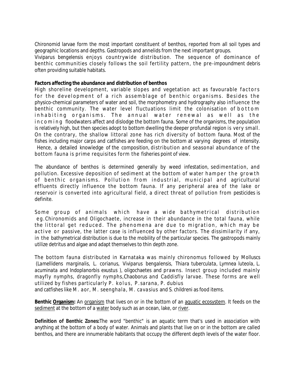Chironomid larvae form the most important constituent of benthos, reported from all soil types and geographic locations and depths. Gastropods and annelids from the next important groups.

*Viviparus bengelensis* enjoys countrywide distribution. The sequence of dominance of benthic communities closely follows the soil fertility pattern, the pre-impoundment debris often providing suitable habitats.

#### **Factors affecting the abundance and distribution of benthos**

High shoreline development, variable slopes and vegetation act as favourable factors for the development of a rich assemblage of benthic organisms. Besides the physico-chemical parameters of water and soil, the morphometry and hydrography also influence the benthic community. The water level fluctuations limit the colonisation of bottom inhabiting organisms. The annual water renewal as well as the inco m in g floodwaters affect and dislodge the bottom fauna. Some of the organisms, the population is relatively high, but then species adopt to bottom dwelling the deeper profundal region is very small. On the contrary, the shallow littoral zone has rich diversity of bottom fauna. Most of the fishes including major carps and catfishes are feeding on the bottom at varying degrees of intensity. Hence, a detailed knowledge of the composition, distribution and seasonal abundance of the bottom fauna is prime requisites form the fisheries point of view.

The abundance of benthos is determined generally by weed infestation, sedimentation, and pollution. Excessive deposition of sediment at the bottom of water hamper the growth of benthic organisms. Pollution from industrial, municipal and agricultural effluents directly influence the bottom fauna. If any peripheral area of the lake or reservoir is converted into agricultural field, a direct threat of pollution from pesticides is definite.

Some group of animals which have a wide bathymetrical distribution eg. Chironomids and Oligochaete, increase in their abundance in the total fauna, while the littoral get reduced. The phenomena are due to migration, which may be active or passive, the latter case is influenced by other factors. The dissimilarity if any, in the bathymetrical distribution is due to the mobility of the particular species. The gastropods mainly utilize detritus and algae and adapt themselves to thin depth zone.

The bottom fauna distributed in Karnataka was mainly chironomus followed by Molluscs (*Lamellidens marginalis, L. corianus, Viviparus bengalensis, Thiara tuberculata, Lymnea luteola, L. acuminata and Indoplanorbis exustus* ), oligochaetes and prawns. Insect group included mainly mayfly nymphs, dragonfly nymphs,Chaoborus and Caddisfly larvae. These forms are well utilized by fishes particularly P. kolus, P. sarana, P. dubius and catfishes like *M. aor, M. seenghala, M. cavasius* and *S. childreni* as food items.

**Benthic Organism:** An organism that lives on or in the bottom of an aquatic ecosystem. It feeds on the sediment at the bottom of a water body such as an ocean, lake, or river.

**Definition of Benthic Zones:**The word "benthic" is an aquatic term that's used in association with anything at the bottom of a body of water. Animals and plants that live on or in the bottom are called benthos, and there are innumerable habitants that occupy the different depth levels of the water floor.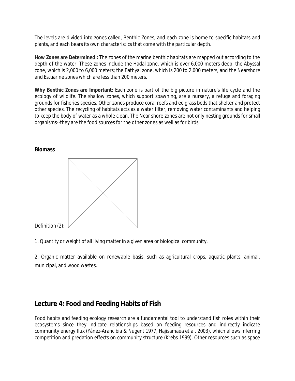The levels are divided into zones called, Benthic Zones, and each zone is home to specific habitats and plants, and each bears its own characteristics that come with the particular depth.

**How Zones are Determined :** The zones of the marine benthic habitats are mapped out according to the depth of the water. These zones include the Hadal zone, which is over 6,000 meters deep; the Abyssal zone, which is 2,000 to 6,000 meters; the Bathyal zone, which is 200 to 2,000 meters, and the Nearshore and Estuarine zones which are less than 200 meters.

**Why Benthic Zones are Important:** Each zone is part of the big picture in nature's life cycle and the ecology of wildlife. The shallow zones, which support spawning, are a nursery, a refuge and foraging grounds for fisheries species. Other zones produce coral reefs and eelgrass beds that shelter and protect other species. The recycling of habitats acts as a water filter, removing water contaminants and helping to keep the body of water as a whole clean. The Near shore zones are not only nesting grounds for small organisms--they are the food sources for the other zones as well as for birds.

#### **Biomass**



1. Quantity or weight of all living matter in a given area or biological community.

2. Organic matter available on renewable basis, such as agricultural crops, aquatic plants, animal, municipal, and wood wastes.

## **Lecture 4: Food and Feeding Habits of Fish**

Food habits and feeding ecology research are a fundamental tool to understand fish roles within their ecosystems since they indicate relationships based on feeding resources and indirectly indicate community energy flux (Yánez-Arancibia & Nugent 1977, Hajisamaea *et al.* 2003), which allows inferring competition and predation effects on community structure (Krebs 1999). Other resources such as space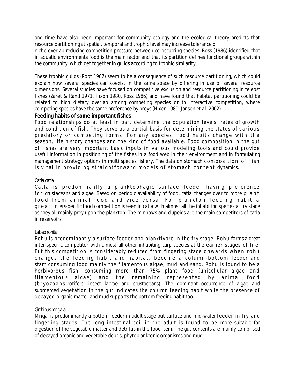and time have also been important for community ecology and the ecological theory predicts that resource partitioning at spatial, temporal and trophic level may increase tolerance of niche overlap reducing competition pressure between co-occurring species. Ross (1986) identified that

in aquatic environments food is the main factor and that its partition defines functional groups within the community, which get together in guilds according to trophic similarity.

These trophic guilds (Root 1967) seem to be a consequence of such resource partitioning, which could explain how several species can coexist in the same space by differing in use of several resource dimensions. Several studies have focused on competitive exclusion and resource partitioning in teleost fishes (Zaret & Rand 1971, Hixon 1980, Ross 1986) and have found that habitat partitioning could be related to high dietary overlap among competing species or to interactive competition, where competing species have the same preference by preys (Hixon 1980, Jansen *et al.* 2002).

#### **Feeding habits of some important fishes**

Food relationships do at least in part determine the population levels, rates of growth and condition of fish. They serve as a partial basis for determining the status of various predatory or competing forms. For any species, food habits change with the season, life history changes and the kind of food available. Food composition in the gut of fishes are very important basic inputs in various modeling tools and could provide useful information in positioning of the fishes in a food web in their environment and in formulating management strategy options in multi species fishery. The data on stomach composition of fish is vital in providing straightforward models of stomach content dynamics.

#### *Catla catla*

Catla is predominantly a planktophagic surface feeder having preference for crustaceans and algae. Based on periodic availability of food, catla changes over to more plant food from animal food and vice versa. For plankton feeding habit a g r e a t inters-pecific food competition is seen in catla with almost all the inhabiting species at fry stage as they all mainly prey upon the plankton. The minnows and clupeids are the main competitors of catla in reservoirs.

#### *Labeo rohita*

Rohu is predominantly a surface feeder and planktivore in the fry stage. Rohu forms a great inter-specific competitor with almost all other inhabiting carp species at the earlier stages of life. But this competition is considerably reduced from fingering stage onwards when rohu changes the feeding habit and habitat, become a column-bottom feeder and start consuming food mainly the filamentous algae, mud and sand. Rohu is found to be a herbivorous fish, consuming more than 75% plant food (unicellular algae and filamentous algae) and the remaining represented by animal food (bryozoans, rotifers, insect larvae and crustaceans). The dominant occurrence of algae and submerged vegetation in the gut indicates the column feeding habit while the presence of decayed organic matter and mud supports the bottom feeding habit too.

#### *Cirrhinus mrigala*

Mrigal is predominantly a bottom feeder in adult stage but surface and mid-water feeder in fry and fingerling stages. The long intestinal coil in the adult is found to be more suitable for digestion of the vegetable matter and detritus in the food item. The gut contents are mainly comprised of decayed organic and vegetable debris, phytoplanktonic organisms and mud.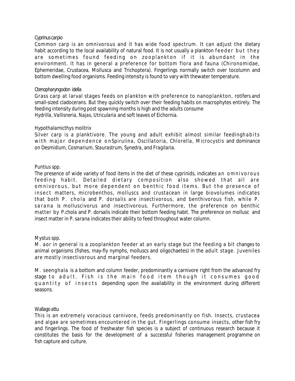#### *Cyprinus carpio*

Common carp is an omnivorous and it has wide food spectrum. It can adjust the dietary habit according to the local availability of natural food. It is not usually a plankton feeder but they are sometimes found feeding on zooplankton if it is abundant in the environment. It has in general a preference for bottom flora and fauna (Chironomidae, Ephemeridae, Crustacea, Mollusca and Trichoptera). Fingerlings normally switch over tocolumn and bottom dwelling food organisms. Feeding intensity is found to vary with thewater temperature.

#### *Ctenopharyngodon idella*

Grass carp at larval stages feeds on plankton with preference to nanoplankton, rotifers and small-sized cladocerans. But they quickly switch over their feeding habits on macrophytes entirely. The feeding intensity during post spawning months is high and the adults consume *Hydrilla, Vallisneria, Najas, Utricularia* and soft leaves of *Eichornia*.

#### *Hypothalamicthys molitrix*

Silver carp is a planktivore. The young and adult exhibit almost similar feedinghabits with major dependence on *Spirulina, Oscillatoria, Chlorella, Microcystis* and dominance on *Desmidium, Cosmarium, Staurastrum, Synedra*, and *Fragilaria*.

#### *Puntius spp.*

The presence of wide variety of food items in the diet of these cyprinids, indicates an omnivorous feeding habit. Detailed dietary composition also showed that all are omnivorous, but more dependent on benthic food items. But the presence of insect matters, microbenthos, molluscs and crustacean in large biovolumes indicates that both *P. chola* and *P. dorsalis* are insectivorous, and benthivorous fish, while *P.* sarana is molluscivorus and insectivorous. Furthermore, the preference on benthic matter by *P.chola* and *P. dorsalis* indicate their bottom feeding habit. The preference on mollusc and insect matter in *P. sarana* indicates their ability to feed throughout water column.

#### *Mystus spp.*

*M. aor* in general is a zooplankton feeder at an early stage but the feeding a bit changes to animal organisms (fishes, may-fly nymphs, molluscs and oligochaetes) in the adult stage. Juveniles are mostly insectivorous and marginal feeders.

*M. seenghala* is a bottom and column feeder, predominantly a carnivore right from the advanced fry stage to adult. Fish is the main food item though it consumes good quantity of insects depending upon the availability in the environment during different seasons.

#### *Wallago attu*

This is an extremely voracious carnivore, feeds predominantly on fish. Insects, crustacea and algae are sometimes encountered in the gut. Fingerlings consume insects, other fish fry and fingerlings. The food of freshwater fish species is a subject of continuous research because it constitutes the basis for the development of a successful fisheries management programme on fish capture and culture.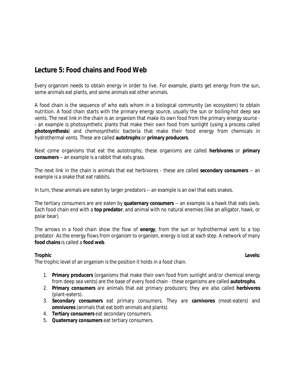## **Lecture 5: Food chains and Food Web**

Every organism needs to obtain energy in order to live. For example, plants get energy from the sun, some animals eat plants, and some animals eat other animals.

A food chain is the sequence of who eats whom in a biological community (an ecosystem) to obtain nutrition. A food chain starts with the primary energy source, usually the sun or boiling-hot deep sea vents. The next link in the chain is an organism that make its own food from the primary energy source - - an example is photosynthetic plants that make their own food from sunlight (using a process called **photosynthesis**) and chemosynthetic bacteria that make their food energy from chemicals in hydrothermal vents. These are called **autotrophs** or **primary producers**.

Next come organisms that eat the autotrophs; these organisms are called **herbivores** or **primary consumers** -- an example is a rabbit that eats grass.

The next link in the chain is animals that eat herbivores - these are called **secondary consumers** -- an example is a snake that eat rabbits.

In turn, these animals are eaten by larger predators -- an example is an owl that eats snakes.

The tertiary consumers are are eaten by **quaternary consumers** -- an example is a hawk that eats owls. Each food chain end with a **top predator**, and animal with no natural enemies (like an alligator, hawk, or polar bear).

The arrows in a food chain show the flow of **energy**, from the sun or hydrothermal vent to a top predator. As the energy flows from organism to organism, energy is lost at each step. A network of many **food chains** is called a **food web**.

#### **Trophic Levels:**

- The trophic level of an organism is the position it holds in a food chain.
	- 1. **Primary producers** (organisms that make their own food from sunlight and/or chemical energy from deep sea vents) are the base of every food chain - these organisms are called **autotrophs**.
	- 2. **Primary consumers** are animals that eat primary producers; they are also called **herbivores** (plant-eaters).
	- 3. **Secondary consumers** eat primary consumers. They are **carnivores** (meat-eaters) and **omnivores** (animals that eat both animals and plants).
	- 4. **Tertiary consumers** eat secondary consumers.
	- 5. **Quaternary consumers** eat tertiary consumers.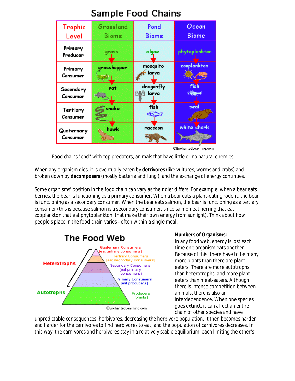

**Sample Food Chains** 

@EnchantedLearning.com

Food chains "end" with top predators, animals that have little or no natural enemies.

When any organism dies, it is eventually eaten by **detrivores** (like vultures, worms and crabs) and broken down by **decomposers** (mostly bacteria and fungi), and the exchange of energy continues.

Some organisms' position in the food chain can vary as their diet differs. For example, when a bear eats berries, the bear is functioning as a primary consumer. When a bear eats a plant-eating rodent, the bear is functioning as a secondary consumer. When the bear eats salmon, the bear is functioning as a tertiary consumer (this is because salmon is a secondary consumer, since salmon eat herring that eat zooplankton that eat phytoplankton, that make their own energy from sunlight). Think about how people's place in the food chain varies - often within a single meal.



#### **Numbers of Organisms:**

In any food web, energy is lost each time one organism eats another. Because of this, there have to be many more plants than there are planteaters. There are more autotrophs than heterotrophs, and more planteaters than meat-eaters. Although there is intense competition between animals, there is also an interdependence. When one species goes extinct, it can affect an entire chain of other species and have

unpredictable consequences. herbivores, decreasing the herbivore population. It then becomes harder and harder for the carnivores to find herbivores to eat, and the population of carnivores decreases. In this way, the carnivores and herbivores stay in a relatively stable equilibrium, each limiting the other's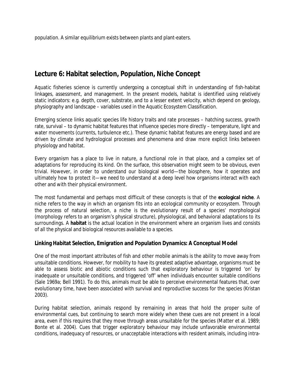population. A similar equilibrium exists between plants and plant-eaters.

## **Lecture 6: Habitat selection, Population, Niche Concept**

Aquatic fisheries science is currently undergoing a conceptual shift in understanding of fish-habitat linkages, assessment, and management. In the present models, habitat is identified using relatively static indicators: e.g. depth, cover, substrate, and to a lesser extent velocity, which depend on geology, physiography and landscape – variables used in the Aquatic Ecosystem Classification.

Emerging science links aquatic species life history traits and rate processes – hatching success, growth rate, survival – to dynamic habitat features that influence species more directly – temperature, light and water movements (currents, turbulence etc.). These dynamic habitat features are energy based and are driven by climate and hydrological processes and phenomena and draw more explicit links between physiology and habitat.

Every organism has a place to live in nature, a functional role in that place, and a complex set of adaptations for reproducing its kind. On the surface, this observation might seem to be obvious, even trivial. However, in order to understand our biological world—the biosphere, how it operates and ultimately how to protect it—we need to understand at a deep level how organisms interact with each other and with their physical environment.

The most fundamental and perhaps most difficult of these concepts is that of the **ecological niche**. A niche refers to the way in which an organism fits into an ecological community or ecosystem. Through the process of natural selection, a niche is the evolutionary result of a species' morphological (morphology refers to an organism's physical structure), physiological, and behavioral adaptations to its surroundings. A **habitat** is the actual location in the environment where an organism lives and consists of all the physical and biological resources available to a species.

#### **Linking Habitat Selection, Emigration and Population Dynamics: A Conceptual Model**

One of the most important attributes of fish and other mobile animals is the ability to move away from unsuitable conditions. However, for mobility to have its greatest adaptive advantage, organisms must be able to assess biotic and abiotic conditions such that exploratory behaviour is triggered 'on' by inadequate or unsuitable conditions, and triggered 'off' when individuals encounter suitable conditions (Sale 1969a; Bell 1991). To do this, animals must be able to perceive environmental features that, over evolutionary time, have been associated with survival and reproductive success for the species (Kristan 2003).

During habitat selection, animals respond by remaining in areas that hold the proper suite of environmental cues, but continuing to search more widely when these cues are not present in a local area, even if this requires that they move through areas unsuitable for the species (Matter et al. 1989; Bonte et al. 2004). Cues that trigger exploratory behaviour may include unfavorable environmental conditions, inadequacy of resources, or unacceptable interactions with resident animals, including intra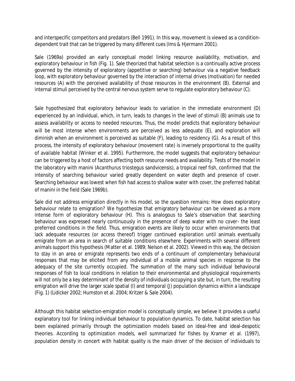and interspecific competitors and predators (Bell 1991). In this way, movement is viewed as a conditiondependent trait that can be triggered by many different cues (Ims & Hjermann 2001).

Sale (1969a) provided an early conceptual model linking resource availability, motivation, and exploratory behaviour in fish (Fig. 1). Sale theorized that habitat selection is a continually active process governed by the intensity of exploratory (appetitive or searching) behaviour via a negative feedback loop, with exploratory behaviour governed by the interaction of internal drives (motivation) for needed resources (A) with the perceived availability of those resources in the environment (B). External and internal stimuli perceived by the central nervous system serve to regulate exploratory behaviour (C).

Sale hypothesized that exploratory behaviour leads to variation in the immediate environment (D) experienced by an individual, which, in turn, leads to changes in the level of stimuli (B) animals use to assess availability or access to needed resources. Thus, the model predicts that exploratory behaviour will be most intense when environments are perceived as less adequate (E), and exploration will diminish when an environment is perceived as suitable (F), leading to residency (G). As a result of this process, the intensity of exploratory behaviour (movement rate) is inversely proportional to the quality of available habitat (Winker et al. 1995). Furthermore, the model suggests that exploratory behaviour can be triggered by a host of factors affecting both resource needs and availability. Tests of the model in the laboratory with manini (*Acanthurus triostegus sandvicensis*), a tropical reef fish, confirmed that the intensity of searching behaviour varied greatly dependent on water depth and presence of cover. Searching behaviour was lowest when fish had access to shallow water with cover, the preferred habitat of manini in the field (Sale 1969b).

Sale did not address emigration directly in his model, so the question remains: How does exploratory behaviour relate to emigration? We hypothesize that emigratory behaviour can be viewed as a more intense form of exploratory behaviour (H). This is analogous to Sale's observation that searching behaviour was expressed nearly continuously in the presence of deep water with no cover- the least preferred conditions in the field. Thus, emigration events are likely to occur when environments that lack adequate resources (or access thereof) trigger continued exploration until animals eventually emigrate from an area in search of suitable conditions elsewhere. Experiments with several different animals support this hypothesis (Matter et al. 1989; Nelson et al. 2002). Viewed in this way, the decision to stay in an area or emigrate represents two ends of a continuum of complementary behavioural responses that may be elicited from any individual of a mobile animal species in response to the adequacy of the site currently occupied. The summation of the many such individual behavioural responses of fish to local conditions in relation to their environmental and physiological requirements will not only be a key determinant of the density of individuals occupying a site but, in turn, the resulting emigration will drive the larger scale spatial (I) and temporal (J) population dynamics within a landscape (Fig. 1) (Lidicker 2002; Humston et al. 2004; Kritzer & Sale 2004).

Although this habitat selection-emigration model is conceptually simple, we believe it provides a useful explanatory tool for linking individual behaviour to population dynamics. To date, habitat selection has been explained primarily through the optimization models based on ideal-free and ideal-despotic theories. According to optimization models, well summarized for fishes by Kramer et al. (1997), population density in concert with habitat quality is the main driver of the decision of individuals to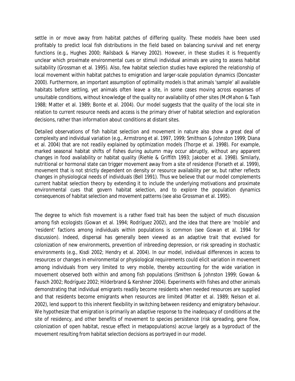settle in or move away from habitat patches of differing quality. These models have been used profitably to predict local fish distributions in the field based on balancing survival and net energy functions (e.g., Hughes 2000; Railsback & Harvey 2002). However, in these studies it is frequently unclear which proximate environmental cues or stimuli individual animals are using to assess habitat suitability (Grossman et al. 1995). Also, few habitat selection studies have explored the relationship of local movement within habitat patches to emigration and larger-scale population dynamics (Doncaster 2000). Furthermore, an important assumption of optimality models is that animals 'sample' all available habitats before settling, yet animals often leave a site, in some cases moving across expanses of unsuitable conditions, without knowledge of the quality nor availability of other sites (McMahon & Tash 1988; Matter et al. 1989; Bonte et al. 2004). Our model suggests that the quality of the local site in relation to current resource needs and access is the primary driver of habitat selection and exploration decisions, rather than information about conditions at distant sites.

Detailed observations of fish habitat selection and movement in nature also show a great deal of complexity and individual variation (e.g., Armstrong et al. 1997, 1999; Smithson & Johnston 1999; Diana et al. 2004) that are not readily explained by optimization models (Thorpe et al. 1998). For example, marked seasonal habitat shifts of fishes during autumn may occur abruptly, without any apparent changes in food availability or habitat quality (Riehle & Griffith 1993; Jakober et al. 1998). Similarly, nutritional or hormonal state can trigger movement away from a site of residence (Forseth et al. 1999), movement that is not strictly dependent on density or resource availability per se, but rather reflects changes in physiological needs of individuals (Bell 1991). Thus we believe that our model complements current habitat selection theory by extending it to include the underlying motivations and proximate environmental cues that govern habitat selection, and to explore the population dynamics consequences of habitat selection and movement patterns (see also Grossman et al. 1995).

The degree to which fish movement is a rather fixed trait has been the subject of much discussion among fish ecologists (Gowan et al. 1994; Rodríguez 2002), and the idea that there are 'mobile' and 'resident' factions among individuals within populations is common (see Gowan et al. 1994 for discussion). Indeed, dispersal has generally been viewed as an adaptive trait that evolved for colonization of new environments, prevention of inbreeding depression, or risk spreading in stochastic environments (e.g., Kisdi 2002; Hendry et al. 2004). In our model, individual differences in access to resources or changes in environmental or physiological requirements could elicit variation in movement among individuals from very limited to very mobile, thereby accounting for the wide variation in movement observed both within and among fish populations (Smithson & Johnston 1999; Gowan & Fausch 2002; Rodríguez 2002; Hilderbrand & Kershner 2004). Experiments with fishes and other animals demonstrating that individual emigrants readily become residents when needed resources are supplied and that residents become emigrants when resources are limited (Matter et al. 1989; Nelson et al. 2002), lend support to this inherent flexibility in switching between residency and emigratory behaviour. We hypothesize that emigration is primarily an adaptive response to the inadequacy of conditions at the site of residency, and other benefits of movement to species persistence (risk spreading, gene flow, colonization of open habitat, rescue effect in metapopulations) accrue largely as a byproduct of the movement resulting from habitat selection decisions as portrayed in our model.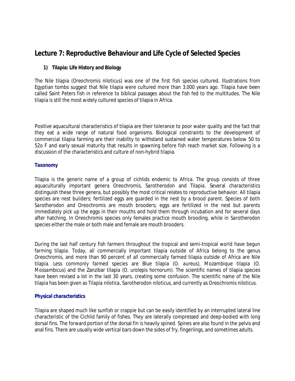### **Lecture 7: Reproductive Behaviour and Life Cycle of Selected Species**

#### **1) Tilapia: Life History and Biology**

The Nile tilapia (*Oreochromis niloticus*) was one of the first fish species cultured. Illustrations from Egyptian tombs suggest that Nile tilapia were cultured more than 3,000 years ago. Tilapia have been called Saint Peters fish in reference to biblical passages about the fish fed to the multitudes. The Nile tilapia is still the most widely cultured species of tilapia in Africa.

Positive aquacultural characteristics of tilapia are their tolerance to poor water quality and the fact that they eat a wide range of natural food organisms. Biological constraints to the development of commercial tilapia farming are their inability to withstand sustained water temperatures below 50 to 52o F and early sexual maturity that results in spawning before fish reach market size. Following is a discussion of the characteristics and culture of non-hybrid tilapia.

#### **Taxonomy**

Tilapia is the generic name of a group of cichlids endemic to Africa. The group consists of three aquaculturally important genera *Oreochromis, Sarotherodon* and *Tilapia*. Several characteristics distinguish these three genera, but possibly the most critical relates to reproductive behavior. All tilapia species are nest builders; fertilized eggs are guarded in the nest by a brood parent. Species of both *Sarotherodon* and *Oreochromis* are mouth brooders; eggs are fertilized in the nest but parents immediately pick up the eggs in their mouths and hold them through incubation and for several days after hatching. In *Oreochromis* species only females practice mouth brooding, while in *Sarotherodon* species either the male or both male and female are mouth brooders.

During the last half century fish farmers throughout the tropical and semi-tropical world have begun farming tilapia. Today, all commercially important tilapia outside of Africa belong to the genus *Oreochromis*, and more than 90 percent of all commercially farmed tilapia outside of Africa are Nile tilapia. Less commonly farmed species are Blue tilapia (*O. aureus*), Mozambique tilapia (*O. Mossambicus*) and the Zanzibar tilapia (*O. urolepis hornorum*). The scientific names of tilapia species have been revised a lot in the last 30 years, creating some confusion. The scientific name of the Nile tilapia has been given as *Tilapia nilotica, Sarotherodon niloticus*, and currently as *Oreochromis niloticus*.

#### **Physical characteristics**

Tilapia are shaped much like sunfish or crappie but can be easily identified by an interrupted lateral line characteristic of the Cichlid family of fishes. They are laterally compressed and deep-bodied with long dorsal fins. The forward portion of the dorsal fin is heavily spined. Spines are also found in the pelvis and anal fins. There are usually wide vertical bars down the sides of fry, fingerlings, and sometimes adults.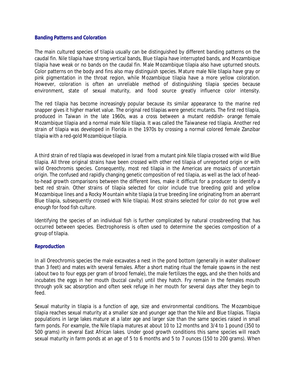#### **Banding Patterns and Coloration**

The main cultured species of tilapia usually can be distinguished by different banding patterns on the caudal fin. Nile tilapia have strong vertical bands, Blue tilapia have interrupted bands, and Mozambique tilapia have weak or no bands on the caudal fin. Male Mozambique tilapia also have upturned snouts. Color patterns on the body and fins also may distinguish species. Mature male Nile tilapia have gray or pink pigmentation in the throat region, while Mozambique tilapia have a more yellow coloration. However, coloration is often an unreliable method of distinguishing tilapia species because environment, state of sexual maturity, and food source greatly influence color intensity.

The red tilapia has become increasingly popular because its similar appearance to the marine red snapper gives it higher market value. The original red tilapias were genetic mutants. The first red tilapia, produced in Taiwan in the late 1960s, was a cross between a mutant reddish- orange female Mozambique tilapia and a normal male Nile tilapia. It was called the Taiwanese red tilapia. Another red strain of tilapia was developed in Florida in the 1970s by crossing a normal colored female Zanzibar tilapia with a red-gold Mozambique tilapia.

A third strain of red tilapia was developed in Israel from a mutant pink Nile tilapia crossed with wild Blue tilapia. All three original strains have been crossed with other red tilapia of unreported origin or with wild *Oreochromis* species. Consequently, most red tilapia in the Americas are mosaics of uncertain origin. The confused and rapidly changing genetic composition of red tilapia, as well as the lack of headto-head growth comparisons between the different lines, make it difficult for a producer to identify a best red strain. Other strains of tilapia selected for color include true breeding gold and yellow Mozambique lines and a Rocky Mountain white tilapia (a true breeding line originating from an aberrant Blue tilapia, subsequently crossed with Nile tilapia). Most strains selected for color do not grow well enough for food fish culture.

Identifying the species of an individual fish is further complicated by natural crossbreeding that has occurred between species. Electrophoresis is often used to determine the species composition of a group of tilapia.

#### **Reproduction**

In all Oreochromis species the male excavates a nest in the pond bottom (generally in water shallower than 3 feet) and mates with several females. After a short mating ritual the female spawns in the nest (about two to four eggs per gram of brood female), the male fertilizes the eggs, and she then holds and incubates the eggs in her mouth (buccal cavity) until they hatch. Fry remain in the females mouth through yolk sac absorption and often seek refuge in her mouth for several days after they begin to feed.

Sexual maturity in tilapia is a function of age, size and environmental conditions. The Mozambique tilapia reaches sexual maturity at a smaller size and younger age than the Nile and Blue tilapias. Tilapia populations in large lakes mature at a later age and larger size than the same species raised in small farm ponds. For example, the Nile tilapia matures at about 10 to 12 months and 3/4 to 1 pound (350 to 500 grams) in several East African lakes. Under good growth conditions this same species will reach sexual maturity in farm ponds at an age of 5 to 6 months and 5 to 7 ounces (150 to 200 grams). When